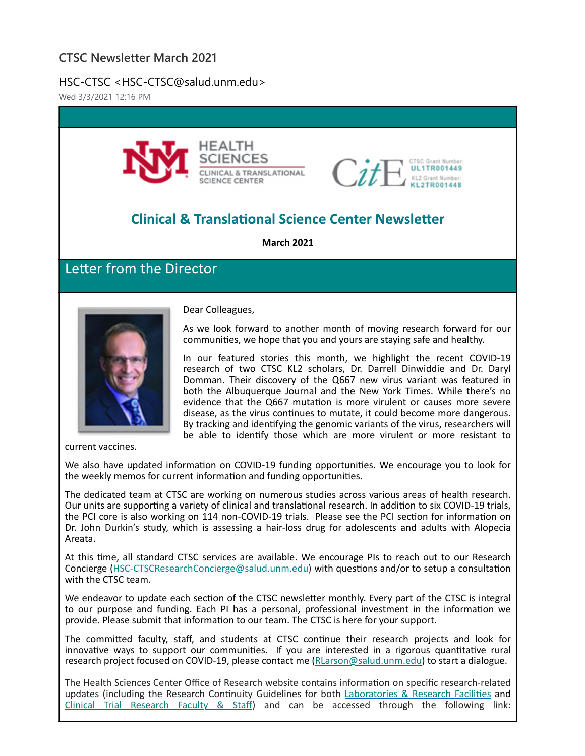### **CTSC Newsletter March 2021**

HSC-CTSC <HSC-CTSC@salud.unm.edu>

Wed 3/3/2021 12:16 PM





# **Clinical & Translational Science Center Newsletter**

**March 2021**

# Letter from the Director



Dear Colleagues,

As we look forward to another month of moving research forward for our communities, we hope that you and yours are staying safe and healthy.

In our featured stories this month, we highlight the recent COVID‐19 research of two CTSC KL2 scholars, Dr. Darrell Dinwiddie and Dr. Daryl Domman. Their discovery of the Q667 new virus variant was featured in both the Albuquerque Journal and the New York Times. While there's no evidence that the Q667 mutation is more virulent or causes more severe disease, as the virus conƟnues to mutate, it could become more dangerous. By tracking and identifying the genomic variants of the virus, researchers will be able to identify those which are more virulent or more resistant to

current vaccines.

We also have updated information on COVID-19 funding opportunities. We encourage you to look for the weekly memos for current information and funding opportunities.

The dedicated team at CTSC are working on numerous studies across various areas of health research. Our units are supporting a variety of clinical and translational research. In addition to six COVID-19 trials, the PCI core is also working on 114 non-COVID-19 trials. Please see the PCI section for information on Dr. John Durkin's study, which is assessing a hair-loss drug for adolescents and adults with Alopecia Areata.

At this time, all standard CTSC services are available. We encourage PIs to reach out to our Research Concierge (HSC-CTSCResearchConcierge@salud.unm.edu) with questions and/or to setup a consultation with the CTSC team.

We endeavor to update each section of the CTSC newsletter monthly. Every part of the CTSC is integral to our purpose and funding. Each PI has a personal, professional investment in the information we provide. Please submit that information to our team. The CTSC is here for your support.

The committed faculty, staff, and students at CTSC continue their research projects and look for innovative ways to support our communities. If you are interested in a rigorous quantitative rural research project focused on COVID‐19, please contact me (RLarson@salud.unm.edu) to start a dialogue.

The Health Sciences Center Office of Research website contains information on specific research-related updates (including the Research Continuity Guidelines for both Laboratories & Research Facilities and Clinical Trial Research Faculty & Staff) and can be accessed through the following link: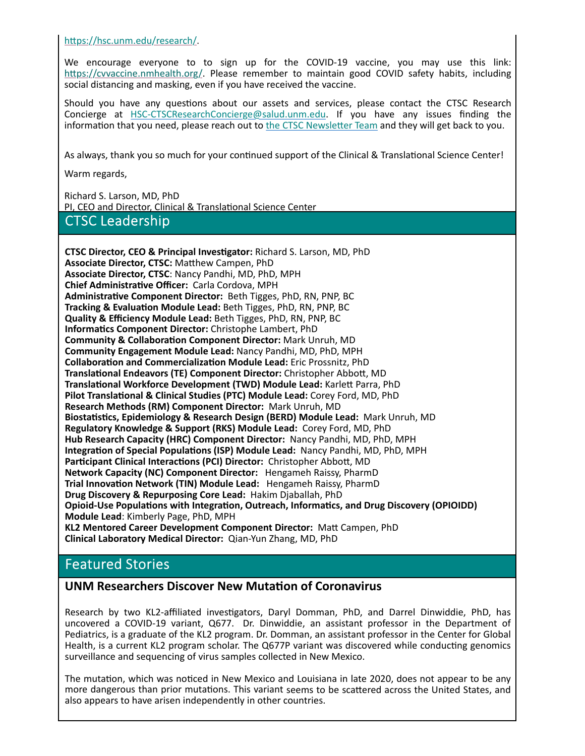https://hsc.unm.edu/research/.

We encourage everyone to to sign up for the COVID-19 vaccine, you may use this link: https://cvvaccine.nmhealth.org/. Please remember to maintain good COVID safety habits, including social distancing and masking, even if you have received the vaccine.

Should you have any questions about our assets and services, please contact the CTSC Research Concierge at HSC‐CTSCResearchConcierge@salud.unm.edu. If you have any issues finding the information that you need, please reach out to the CTSC Newsletter Team and they will get back to you.

As always, thank you so much for your continued support of the Clinical & Translational Science Center!

Warm regards,

Richard S. Larson, MD, PhD PI, CEO and Director, Clinical & Translational Science Center **CTSC Leadership** 

**CTSC Director, CEO & Principal Investigator:** Richard S. Larson, MD, PhD **Associate Director, CTSC:** MaƩhew Campen, PhD **Associate Director, CTSC**: Nancy Pandhi, MD, PhD, MPH **Chief AdministraƟve Officer:** Carla Cordova, MPH **AdministraƟve Component Director:** Beth Tigges, PhD, RN, PNP, BC **Tracking & Evaluation Module Lead:** Beth Tigges, PhD, RN, PNP, BC **Quality & Efficiency Module Lead:** Beth Tigges, PhD, RN, PNP, BC **InformaƟcs Component Director:** Christophe Lambert, PhD **Community & CollaboraƟon Component Director:** Mark Unruh, MD **Community Engagement Module Lead:** Nancy Pandhi, MD, PhD, MPH **CollaboraƟon and CommercializaƟon Module Lead:** Eric Prossnitz, PhD **TranslaƟonal Endeavors (TE) Component Director:** Christopher AbboƩ, MD **TranslaƟonal Workforce Development (TWD) Module Lead:** KarleƩ Parra, PhD **Pilot TranslaƟonal & Clinical Studies (PTC) Module Lead:** Corey Ford, MD, PhD **Research Methods (RM) Component Director:** Mark Unruh, MD **BiostaƟsƟcs, Epidemiology & Research Design (BERD) Module Lead:** Mark Unruh, MD **Regulatory Knowledge & Support (RKS) Module Lead:** Corey Ford, MD, PhD **Hub Research Capacity (HRC) Component Director:** Nancy Pandhi, MD, PhD, MPH **IntegraƟon of Special PopulaƟons (ISP) Module Lead:** Nancy Pandhi, MD, PhD, MPH **Participant Clinical Interactions (PCI) Director:** Christopher Abbott, MD **Network Capacity (NC) Component Director:** Hengameh Raissy, PharmD **Trial InnovaƟon Network (TIN) Module Lead:** Hengameh Raissy, PharmD **Drug Discovery & Repurposing Core Lead:** Hakim Djaballah, PhD **Opioid‐Use PopulaƟons with IntegraƟon, Outreach, InformaƟcs, and Drug Discovery (OPIOIDD) Module Lead**: Kimberly Page, PhD, MPH **KL2 Mentored Career Development Component Director:** MaƩ Campen, PhD **Clinical Laboratory Medical Director:** Qian‐Yun Zhang, MD, PhD

### **Featured Stories**

#### **UNM Researchers Discover New MutaƟon of Coronavirus**

Research by two KL2-affiliated investigators, Daryl Domman, PhD, and Darrel Dinwiddie, PhD, has uncovered a COVID-19 variant, Q677. Dr. Dinwiddie, an assistant professor in the Department of Pediatrics, is a graduate of the KL2 program. Dr. Domman, an assistant professor in the Center for Global Health, is a current KL2 program scholar. The Q677P variant was discovered while conducting genomics surveillance and sequencing of virus samples collected in New Mexico.

The mutation, which was noticed in New Mexico and Louisiana in late 2020, does not appear to be any more dangerous than prior mutations. This variant seems to be scattered across the United States, and also appears to have arisen independently in other countries.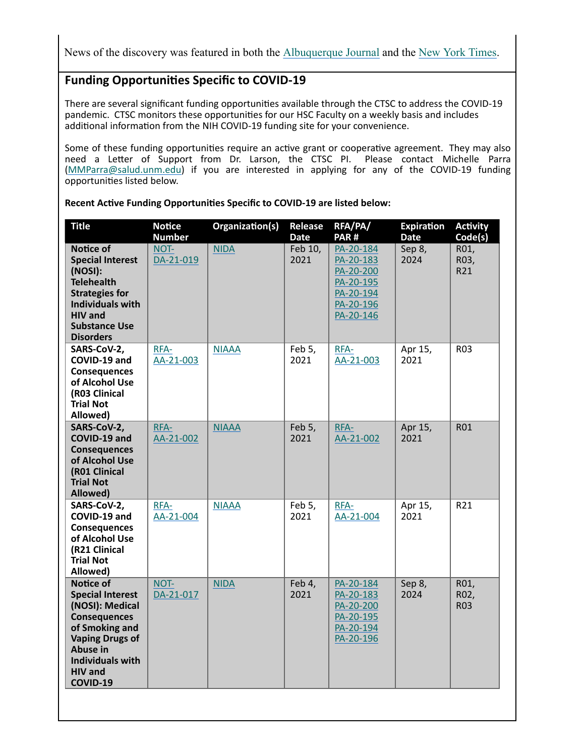News of the discovery was featured in both the Albuquerque Journal and the New York Times.

### **Funding OpportuniƟes Specific to COVID‐19**

There are several significant funding opportunities available through the CTSC to address the COVID-19 pandemic. CTSC monitors these opportunities for our HSC Faculty on a weekly basis and includes additional information from the NIH COVID-19 funding site for your convenience.

Some of these funding opportunities require an active grant or cooperative agreement. They may also need a Letter of Support from Dr. Larson, the CTSC PI. Please contact Michelle Parra (MMParra@salud.unm.edu) if you are interested in applying for any of the COVID‐19 funding opportunities listed below.

| <b>Title</b>                                                                                                                                                                                    | <b>Notice</b><br><b>Number</b> | Organization(s) | Release<br><b>Date</b> | RFA/PA/<br>PAR#                                                                         | <b>Expiration</b><br><b>Date</b> | <b>Activity</b><br>Code(s) |
|-------------------------------------------------------------------------------------------------------------------------------------------------------------------------------------------------|--------------------------------|-----------------|------------------------|-----------------------------------------------------------------------------------------|----------------------------------|----------------------------|
| <b>Notice of</b><br><b>Special Interest</b><br>(NOSI):<br><b>Telehealth</b><br><b>Strategies for</b><br><b>Individuals with</b><br><b>HIV</b> and<br><b>Substance Use</b><br><b>Disorders</b>   | NOT-<br>DA-21-019              | <b>NIDA</b>     | Feb 10,<br>2021        | PA-20-184<br>PA-20-183<br>PA-20-200<br>PA-20-195<br>PA-20-194<br>PA-20-196<br>PA-20-146 | Sep 8,<br>2024                   | R01,<br>R03,<br>R21        |
| SARS-CoV-2,<br>COVID-19 and<br><b>Consequences</b><br>of Alcohol Use<br>(R03 Clinical<br><b>Trial Not</b><br>Allowed)                                                                           | RFA-<br>AA-21-003              | <b>NIAAA</b>    | Feb 5,<br>2021         | RFA-<br>AA-21-003                                                                       | Apr 15,<br>2021                  | R <sub>0</sub> 3           |
| SARS-CoV-2,<br>COVID-19 and<br><b>Consequences</b><br>of Alcohol Use<br>(R01 Clinical<br><b>Trial Not</b><br>Allowed)                                                                           | RFA-<br>AA-21-002              | <b>NIAAA</b>    | Feb 5,<br>2021         | RFA-<br>AA-21-002                                                                       | Apr 15,<br>2021                  | <b>R01</b>                 |
| SARS-CoV-2,<br>COVID-19 and<br><b>Consequences</b><br>of Alcohol Use<br>(R21 Clinical<br><b>Trial Not</b><br>Allowed)                                                                           | RFA-<br>AA-21-004              | <b>NIAAA</b>    | Feb 5,<br>2021         | RFA-<br>AA-21-004                                                                       | Apr 15,<br>2021                  | R21                        |
| Notice of<br><b>Special Interest</b><br>(NOSI): Medical<br><b>Consequences</b><br>of Smoking and<br><b>Vaping Drugs of</b><br>Abuse in<br><b>Individuals with</b><br><b>HIV</b> and<br>COVID-19 | NOT-<br>DA-21-017              | <b>NIDA</b>     | Feb 4,<br>2021         | PA-20-184<br>PA-20-183<br>PA-20-200<br>PA-20-195<br>PA-20-194<br>PA-20-196              | Sep 8,<br>2024                   | R01,<br>R02,<br><b>R03</b> |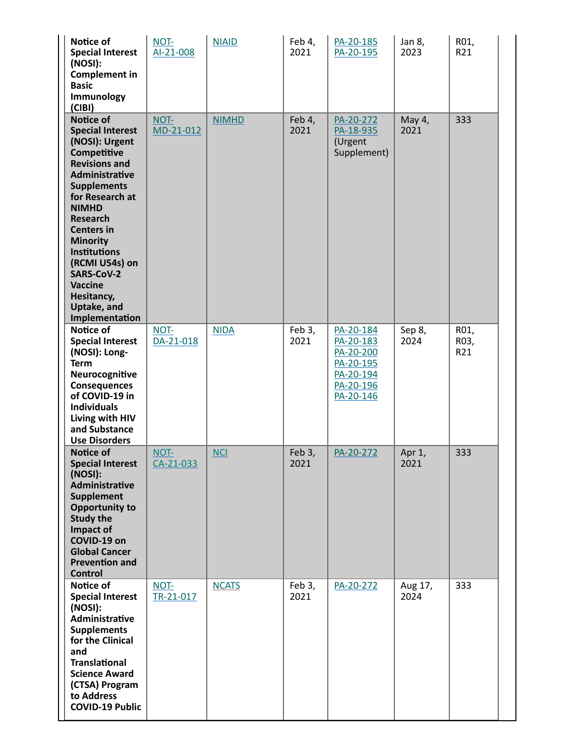| Notice of<br><b>Special Interest</b><br>(NOSI):<br><b>Complement in</b><br><b>Basic</b><br>Immunology<br>(CIBI)                                                                                                                                                                                                                                                           | NOT-<br>Al-21-008 | <b>NIAID</b> | Feb 4,<br>2021 | PA-20-185<br>PA-20-195                                                                  | Jan 8,<br>2023  | R01,<br>R21         |
|---------------------------------------------------------------------------------------------------------------------------------------------------------------------------------------------------------------------------------------------------------------------------------------------------------------------------------------------------------------------------|-------------------|--------------|----------------|-----------------------------------------------------------------------------------------|-----------------|---------------------|
| <b>Notice of</b><br><b>Special Interest</b><br>(NOSI): Urgent<br>Competitive<br><b>Revisions and</b><br>Administrative<br><b>Supplements</b><br>for Research at<br><b>NIMHD</b><br><b>Research</b><br><b>Centers in</b><br><b>Minority</b><br><b>Institutions</b><br>(RCMI U54s) on<br><b>SARS-CoV-2</b><br><b>Vaccine</b><br>Hesitancy,<br>Uptake, and<br>Implementation | NOT-<br>MD-21-012 | <b>NIMHD</b> | Feb 4,<br>2021 | PA-20-272<br>PA-18-935<br>(Urgent<br>Supplement)                                        | May 4,<br>2021  | 333                 |
| Notice of<br><b>Special Interest</b><br>(NOSI): Long-<br><b>Term</b><br>Neurocognitive<br><b>Consequences</b><br>of COVID-19 in<br><b>Individuals</b><br>Living with HIV<br>and Substance<br><b>Use Disorders</b>                                                                                                                                                         | NOT-<br>DA-21-018 | <b>NIDA</b>  | Feb 3,<br>2021 | PA-20-184<br>PA-20-183<br>PA-20-200<br>PA-20-195<br>PA-20-194<br>PA-20-196<br>PA-20-146 | Sep 8,<br>2024  | R01,<br>R03,<br>R21 |
| <b>Notice of</b><br><b>Special Interest</b><br>(NOSI):<br>Administrative<br><b>Supplement</b><br><b>Opportunity to</b><br><b>Study the</b><br>Impact of<br>COVID-19 on<br><b>Global Cancer</b><br><b>Prevention and</b><br><b>Control</b>                                                                                                                                 | NOT-<br>CA-21-033 | <b>NCI</b>   | Feb 3,<br>2021 | PA-20-272                                                                               | Apr 1,<br>2021  | 333                 |
| Notice of<br><b>Special Interest</b><br>(NOSI):<br>Administrative<br><b>Supplements</b><br>for the Clinical<br>and<br><b>Translational</b><br><b>Science Award</b><br>(CTSA) Program<br>to Address<br><b>COVID-19 Public</b>                                                                                                                                              | NOT-<br>TR-21-017 | <b>NCATS</b> | Feb 3,<br>2021 | PA-20-272                                                                               | Aug 17,<br>2024 | 333                 |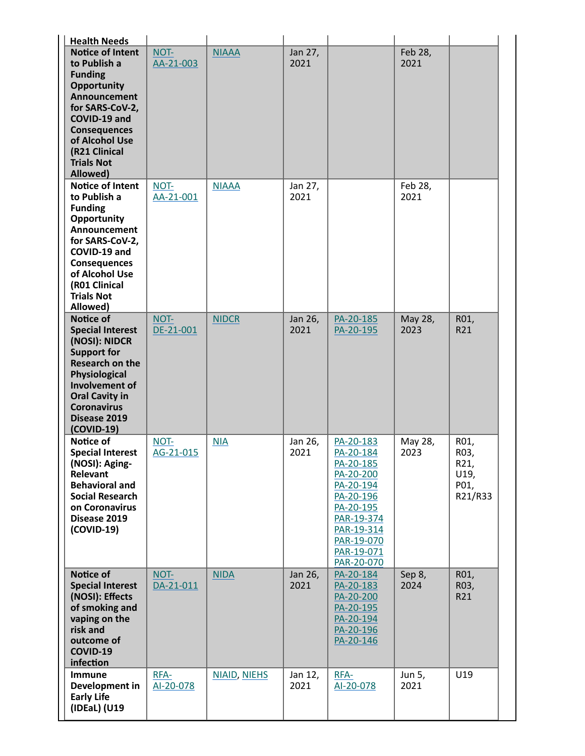| <b>Health Needs</b>                                                                                                                                                                                                           |                   |                     |                 |                                                                                                                                                               |                 |                                                 |
|-------------------------------------------------------------------------------------------------------------------------------------------------------------------------------------------------------------------------------|-------------------|---------------------|-----------------|---------------------------------------------------------------------------------------------------------------------------------------------------------------|-----------------|-------------------------------------------------|
| <b>Notice of Intent</b><br>to Publish a<br><b>Funding</b><br><b>Opportunity</b><br>Announcement<br>for SARS-CoV-2,<br>COVID-19 and<br><b>Consequences</b><br>of Alcohol Use<br>(R21 Clinical<br><b>Trials Not</b><br>Allowed) | NOT-<br>AA-21-003 | <b>NIAAA</b>        | Jan 27,<br>2021 |                                                                                                                                                               | Feb 28,<br>2021 |                                                 |
| <b>Notice of Intent</b><br>to Publish a<br><b>Funding</b><br>Opportunity<br>Announcement<br>for SARS-CoV-2,<br>COVID-19 and<br><b>Consequences</b><br>of Alcohol Use<br>(R01 Clinical<br><b>Trials Not</b><br>Allowed)        | NOT-<br>AA-21-001 | <b>NIAAA</b>        | Jan 27,<br>2021 |                                                                                                                                                               | Feb 28,<br>2021 |                                                 |
| Notice of<br><b>Special Interest</b><br>(NOSI): NIDCR<br><b>Support for</b><br><b>Research on the</b><br>Physiological<br>Involvement of<br><b>Oral Cavity in</b><br><b>Coronavirus</b><br>Disease 2019<br>(COVID-19)         | NOT-<br>DE-21-001 | <b>NIDCR</b>        | Jan 26,<br>2021 | PA-20-185<br>PA-20-195                                                                                                                                        | May 28,<br>2023 | R01,<br>R21                                     |
| Notice of<br><b>Special Interest</b><br>(NOSI): Aging-<br>Relevant<br><b>Behavioral and</b><br><b>Social Research</b><br>on Coronavirus<br>Disease 2019<br>(COVID-19)                                                         | NOT-<br>AG-21-015 | <b>NIA</b>          | Jan 26,<br>2021 | PA-20-183<br>PA-20-184<br>PA-20-185<br>PA-20-200<br>PA-20-194<br>PA-20-196<br>PA-20-195<br>PAR-19-374<br>PAR-19-314<br>PAR-19-070<br>PAR-19-071<br>PAR-20-070 | May 28,<br>2023 | R01,<br>R03,<br>R21,<br>U19,<br>P01,<br>R21/R33 |
| Notice of<br><b>Special Interest</b><br>(NOSI): Effects<br>of smoking and<br>vaping on the<br>risk and<br>outcome of<br>COVID-19<br>infection                                                                                 | NOT-<br>DA-21-011 | <b>NIDA</b>         | Jan 26,<br>2021 | PA-20-184<br>PA-20-183<br>PA-20-200<br>PA-20-195<br>PA-20-194<br>PA-20-196<br>PA-20-146                                                                       | Sep 8,<br>2024  | R01,<br>R03,<br>R21                             |
| Immune<br>Development in<br><b>Early Life</b><br>(IDEaL) (U19                                                                                                                                                                 | RFA-<br>AI-20-078 | <b>NIAID, NIEHS</b> | Jan 12,<br>2021 | RFA-<br>AI-20-078                                                                                                                                             | Jun 5,<br>2021  | U19                                             |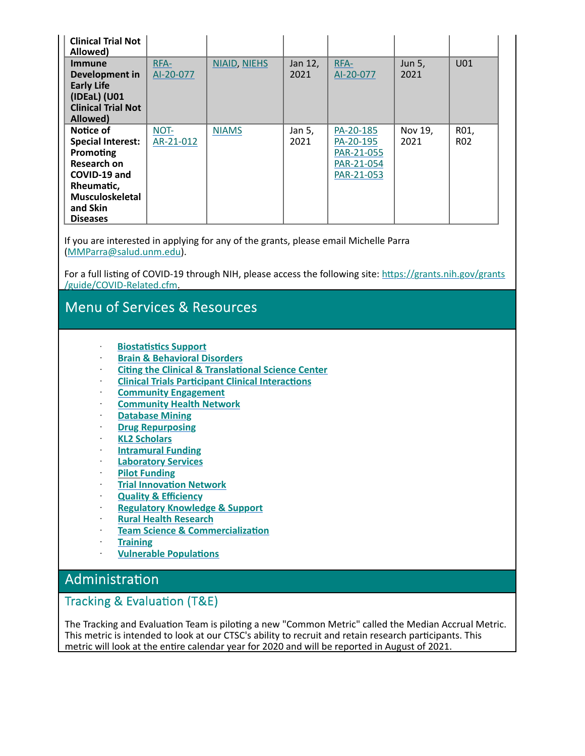| <b>Clinical Trial Not</b><br>Allowed)                                                                                                             |                   |                     |                 |                                                                  |                 |                         |
|---------------------------------------------------------------------------------------------------------------------------------------------------|-------------------|---------------------|-----------------|------------------------------------------------------------------|-----------------|-------------------------|
| <b>Immune</b><br>Development in<br><b>Early Life</b><br>(IDEaL) (U01<br><b>Clinical Trial Not</b><br>Allowed)                                     | RFA-<br>AI-20-077 | <b>NIAID, NIEHS</b> | Jan 12,<br>2021 | RFA-<br>AI-20-077                                                | Jun 5,<br>2021  | U01                     |
| Notice of<br><b>Special Interest:</b><br>Promoting<br>Research on<br>COVID-19 and<br>Rheumatic,<br>Musculoskeletal<br>and Skin<br><b>Diseases</b> | NOT-<br>AR-21-012 | <b>NIAMS</b>        | Jan 5,<br>2021  | PA-20-185<br>PA-20-195<br>PAR-21-055<br>PAR-21-054<br>PAR-21-053 | Nov 19,<br>2021 | R01,<br>R <sub>02</sub> |

If you are interested in applying for any of the grants, please email Michelle Parra (MMParra@salud.unm.edu).

For a full listing of COVID-19 through NIH, please access the following site: https://grants.nih.gov/grants /guide/COVID‐Related.cfm.

# Menu of Services & Resources

- ꞏ **BiostaƟsƟcs Support**
- ꞏ **Brain & Behavioral Disorders**
- ꞏ **CiƟng the Clinical & TranslaƟonal Science Center**
- ꞏ **Clinical Trials ParƟcipant Clinical InteracƟons**
- ꞏ **Community Engagement**
- ꞏ **Community Health Network**
- ꞏ **Database Mining**
- ꞏ **Drug Repurposing**
- ꞏ **KL2 Scholars**
- ꞏ **Intramural Funding**
- ꞏ **Laboratory Services**
- ꞏ **Pilot Funding**
- **Trial Innovation Network**
- ꞏ **Quality & Efficiency**
- ꞏ **Regulatory Knowledge & Support**
- ꞏ **Rural Health Research**
- **Team Science & Commercialization**
- ꞏ **Training**
- **Vulnerable Populations**

### Administration

### Tracking & Evaluation (T&E)

The Tracking and Evaluation Team is piloting a new "Common Metric" called the Median Accrual Metric. This metric is intended to look at our CTSC's ability to recruit and retain research participants. This metric will look at the entire calendar year for 2020 and will be reported in August of 2021.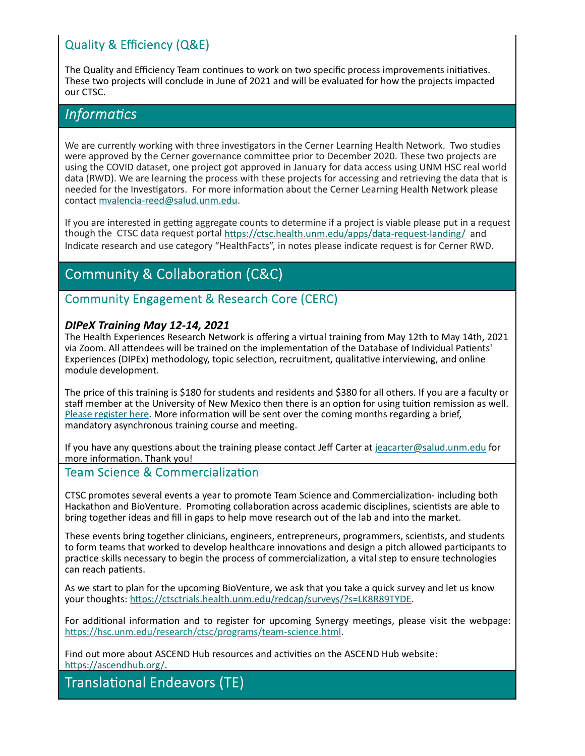## Quality & Efficiency (Q&E)

The Quality and Efficiency Team continues to work on two specific process improvements initiatives. These two projects will conclude in June of 2021 and will be evaluated for how the projects impacted our CTSC.

### *<u>Informatics</u>*

We are currently working with three investigators in the Cerner Learning Health Network. Two studies were approved by the Cerner governance committee prior to December 2020. These two projects are using the COVID dataset, one project got approved in January for data access using UNM HSC real world data (RWD). We are learning the process with these projects for accessing and retrieving the data that is needed for the Investigators. For more information about the Cerner Learning Health Network please contact mvalencia‐reed@salud.unm.edu.

If you are interested in getting aggregate counts to determine if a project is viable please put in a request though the CTSC data request portal https://ctsc.health.unm.edu/apps/data-request-landing/ and Indicate research and use category "HealthFacts", in notes please indicate request is for Cerner RWD.

# **Community & Collaboration (C&C)**

### Community Engagement & Research Core (CERC)

#### *DIPeX Training May 12‐14, 2021*

The Health Experiences Research Network is offering a virtual training from May 12th to May 14th, 2021 via Zoom. All attendees will be trained on the implementation of the Database of Individual Patients' Experiences (DIPEx) methodology, topic selection, recruitment, qualitative interviewing, and online module development.

The price of this training is \$180 for students and residents and \$380 for all others. If you are a faculty or staff member at the University of New Mexico then there is an option for using tuition remission as well. Please register here. More information will be sent over the coming months regarding a brief, mandatory asynchronous training course and meeting.

If you have any questions about the training please contact Jeff Carter at jeacarter@salud.unm.edu for more information. Thank you!

#### Team Science & Commercialization

CTSC promotes several events a year to promote Team Science and Commercialization- including both Hackathon and BioVenture. Promoting collaboration across academic disciplines, scientists are able to bring together ideas and fill in gaps to help move research out of the lab and into the market.

These events bring together clinicians, engineers, entrepreneurs, programmers, scientists, and students to form teams that worked to develop healthcare innovations and design a pitch allowed participants to practice skills necessary to begin the process of commercialization, a vital step to ensure technologies can reach patients.

As we start to plan for the upcoming BioVenture, we ask that you take a quick survey and let us know your thoughts: https://ctsctrials.health.unm.edu/redcap/surveys/?s=LK8R89TYDE.

For additional information and to register for upcoming Synergy meetings, please visit the webpage: https://hsc.unm.edu/research/ctsc/programs/team-science.html.

Find out more about ASCEND Hub resources and activities on the ASCEND Hub website: https://ascendhub.org/.

**Translational Endeavors (TE)**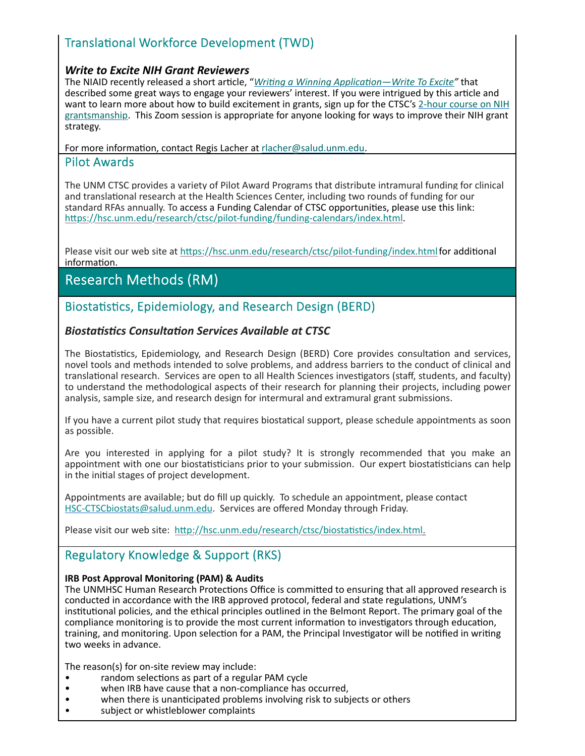## Translational Workforce Development (TWD)

#### *Write to Excite NIH Grant Reviewers*

The NIAID recently released a short arƟcle, "*WriƟng a Winning ApplicaƟon—Write To Excite"* that described some great ways to engage your reviewers' interest. If you were intrigued by this article and want to learn more about how to build excitement in grants, sign up for the CTSC's 2-hour course on NIH grantsmanship. This Zoom session is appropriate for anyone looking for ways to improve their NIH grant strategy.

For more information, contact Regis Lacher at rlacher@salud.unm.edu.

#### Pilot Awards

The UNM CTSC provides a variety of Pilot Award Programs that distribute intramural funding for clinical and translational research at the Health Sciences Center, including two rounds of funding for our standard RFAs annually. To access a Funding Calendar of CTSC opportunities, please use this link: https://hsc.unm.edu/research/ctsc/pilot-funding/funding-calendars/index.html.

Please visit our web site at https://hsc.unm.edu/research/ctsc/pilot-funding/index.html for additional information.

# **Research Methods (RM)**

Biostatistics, Epidemiology, and Research Design (BERD)

### *BiostaƟsƟcs ConsultaƟon Services Available at CTSC*

The Biostatistics, Epidemiology, and Research Design (BERD) Core provides consultation and services, novel tools and methods intended to solve problems, and address barriers to the conduct of clinical and translational research. Services are open to all Health Sciences investigators (staff, students, and faculty) to understand the methodological aspects of their research for planning their projects, including power analysis, sample size, and research design for intermural and extramural grant submissions.

If you have a current pilot study that requires biostatical support, please schedule appointments as soon as possible.

Are you interested in applying for a pilot study? It is strongly recommended that you make an appointment with one our biostatisticians prior to your submission. Our expert biostatisticians can help in the initial stages of project development.

Appointments are available; but do fill up quickly. To schedule an appointment, please contact HSC-CTSCbiostats@salud.unm.edu. Services are offered Monday through Friday.

Please visit our web site: http://hsc.unm.edu/research/ctsc/biostatistics/index.html.

### Regulatory Knowledge & Support (RKS)

#### **IRB Post Approval Monitoring (PAM) & Audits**

The UNMHSC Human Research Protections Office is committed to ensuring that all approved research is conducted in accordance with the IRB approved protocol, federal and state regulations, UNM's institutional policies, and the ethical principles outlined in the Belmont Report. The primary goal of the compliance monitoring is to provide the most current information to investigators through education, training, and monitoring. Upon selection for a PAM, the Principal Investigator will be notified in writing two weeks in advance.

The reason(s) for on-site review may include:

- random selections as part of a regular PAM cycle
- **When IRB have cause that a non-compliance has occurred,**
- when there is unanticipated problems involving risk to subjects or others
- subject or whistleblower complaints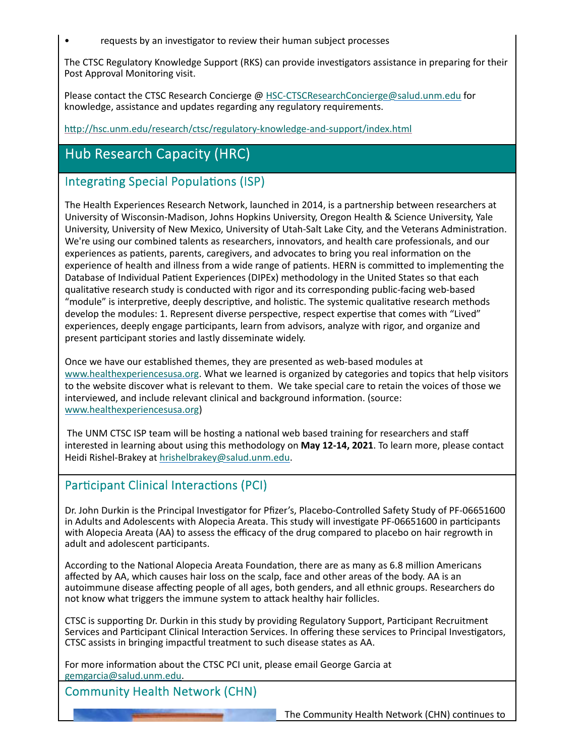requests by an investigator to review their human subject processes

The CTSC Regulatory Knowledge Support (RKS) can provide investigators assistance in preparing for their Post Approval Monitoring visit.

Please contact the CTSC Research Concierge @ HSC-CTSCResearchConcierge@salud.unm.edu for knowledge, assistance and updates regarding any regulatory requirements.

http://hsc.unm.edu/research/ctsc/regulatory-knowledge-and-support/index.html

# Hub Research Capacity (HRC)

### Integrating Special Populations (ISP)

The Health Experiences Research Network, launched in 2014, is a partnership between researchers at University of Wisconsin‐Madison, Johns Hopkins University, Oregon Health & Science University, Yale University, University of New Mexico, University of Utah-Salt Lake City, and the Veterans Administration. We're using our combined talents as researchers, innovators, and health care professionals, and our experiences as patients, parents, caregivers, and advocates to bring you real information on the experience of health and illness from a wide range of patients. HERN is committed to implementing the Database of Individual Patient Experiences (DIPEx) methodology in the United States so that each qualitaƟve research study is conducted with rigor and its corresponding public‐facing web‐based "module" is interpretive, deeply descriptive, and holistic. The systemic qualitative research methods develop the modules: 1. Represent diverse perspective, respect expertise that comes with "Lived" experiences, deeply engage participants, learn from advisors, analyze with rigor, and organize and present participant stories and lastly disseminate widely.

Once we have our established themes, they are presented as web‐based modules at www.healthexperiencesusa.org. What we learned is organized by categories and topics that help visitors to the website discover what is relevant to them. We take special care to retain the voices of those we interviewed, and include relevant clinical and background information. (source: www.healthexperiencesusa.org)

The UNM CTSC ISP team will be hosting a national web based training for researchers and staff interested in learning about using this methodology on **May 12‐14, 2021**. To learn more, please contact Heidi Rishel‐Brakey at hrishelbrakey@salud.unm.edu.

### Participant Clinical Interactions (PCI)

Dr. John Durkin is the Principal Investigator for Pfizer's, Placebo-Controlled Safety Study of PF-06651600 in Adults and Adolescents with Alopecia Areata. This study will investigate PF-06651600 in participants with Alopecia Areata (AA) to assess the efficacy of the drug compared to placebo on hair regrowth in adult and adolescent participants.

According to the National Alopecia Areata Foundation, there are as many as 6.8 million Americans affected by AA, which causes hair loss on the scalp, face and other areas of the body. AA is an autoimmune disease affecting people of all ages, both genders, and all ethnic groups. Researchers do not know what triggers the immune system to attack healthy hair follicles.

CTSC is supporting Dr. Durkin in this study by providing Regulatory Support, Participant Recruitment Services and Participant Clinical Interaction Services. In offering these services to Principal Investigators, CTSC assists in bringing impactful treatment to such disease states as AA.

For more information about the CTSC PCI unit, please email George Garcia at gemgarcia@salud.unm.edu.

Community Health Network (CHN)

The Community Health Network (CHN) continues to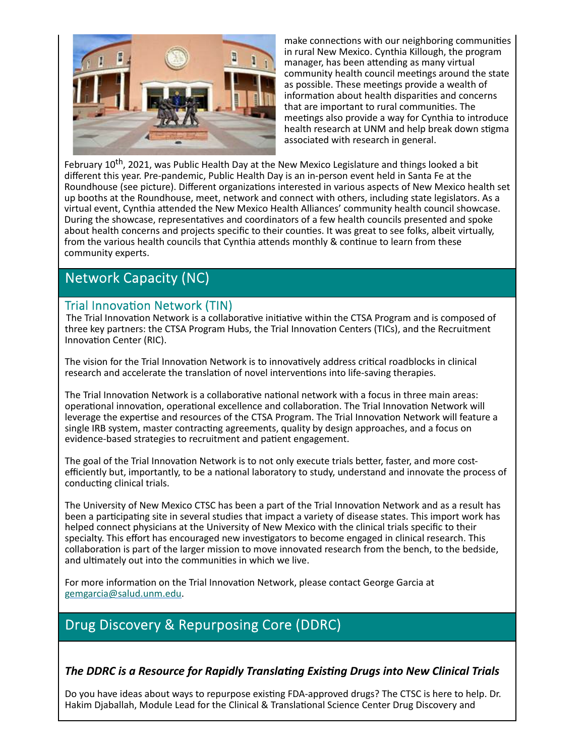

make connections with our neighboring communities in rural New Mexico. Cynthia Killough, the program manager, has been attending as many virtual community health council meetings around the state as possible. These meetings provide a wealth of information about health disparities and concerns that are important to rural communities. The meetings also provide a way for Cynthia to introduce health research at UNM and help break down stigma associated with research in general.

February 10<sup>th</sup>, 2021, was Public Health Day at the New Mexico Legislature and things looked a bit different this year. Pre‐pandemic, Public Health Day is an in‐person event held in Santa Fe at the Roundhouse (see picture). Different organizations interested in various aspects of New Mexico health set up booths at the Roundhouse, meet, network and connect with others, including state legislators. As a virtual event, Cynthia attended the New Mexico Health Alliances' community health council showcase. During the showcase, representatives and coordinators of a few health councils presented and spoke about health concerns and projects specific to their counties. It was great to see folks, albeit virtually, from the various health councils that Cynthia attends monthly & continue to learn from these community experts.

# **Network Capacity (NC)**

### Trial Innovation Network (TIN)

The Trial Innovation Network is a collaborative initiative within the CTSA Program and is composed of three key partners: the CTSA Program Hubs, the Trial Innovation Centers (TICs), and the Recruitment Innovation Center (RIC).

The vision for the Trial Innovation Network is to innovatively address critical roadblocks in clinical research and accelerate the translation of novel interventions into life-saving therapies.

The Trial Innovation Network is a collaborative national network with a focus in three main areas: operational innovation, operational excellence and collaboration. The Trial Innovation Network will leverage the expertise and resources of the CTSA Program. The Trial Innovation Network will feature a single IRB system, master contracting agreements, quality by design approaches, and a focus on evidence-based strategies to recruitment and patient engagement.

The goal of the Trial Innovation Network is to not only execute trials better, faster, and more costefficiently but, importantly, to be a national laboratory to study, understand and innovate the process of conducting clinical trials.

The University of New Mexico CTSC has been a part of the Trial Innovation Network and as a result has been a participating site in several studies that impact a variety of disease states. This import work has helped connect physicians at the University of New Mexico with the clinical trials specific to their specialty. This effort has encouraged new investigators to become engaged in clinical research. This collaboration is part of the larger mission to move innovated research from the bench, to the bedside, and ultimately out into the communities in which we live.

For more information on the Trial Innovation Network, please contact George Garcia at gemgarcia@salud.unm.edu.

# Drug Discovery & Repurposing Core (DDRC)

*The DDRC is a Resource for Rapidly TranslaƟng ExisƟng Drugs into New Clinical Trials*

Do you have ideas about ways to repurpose existing FDA-approved drugs? The CTSC is here to help. Dr. Hakim Djaballah, Module Lead for the Clinical & Translational Science Center Drug Discovery and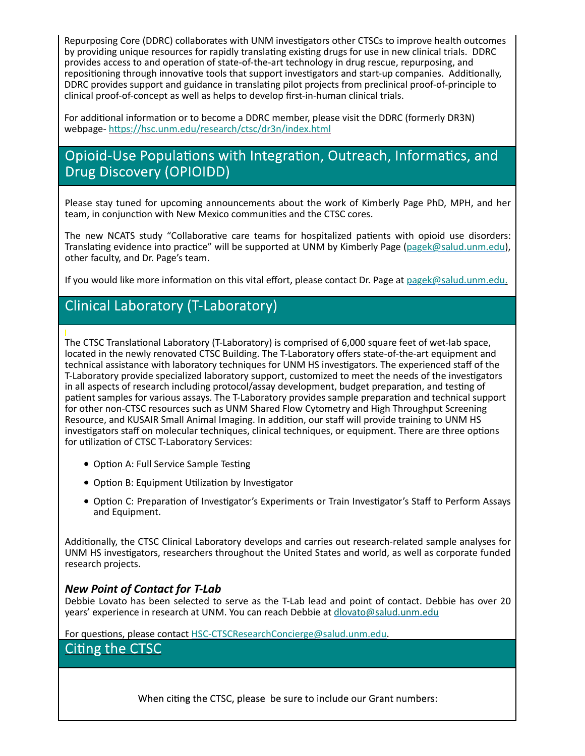Repurposing Core (DDRC) collaborates with UNM investigators other CTSCs to improve health outcomes by providing unique resources for rapidly translating existing drugs for use in new clinical trials. DDRC provides access to and operation of state-of-the-art technology in drug rescue, repurposing, and repositioning through innovative tools that support investigators and start-up companies. Additionally, DDRC provides support and guidance in translating pilot projects from preclinical proof-of-principle to clinical proof‐of‐concept as well as helps to develop first‐in‐human clinical trials.

For additional information or to become a DDRC member, please visit the DDRC (formerly DR3N) webpage- https://hsc.unm.edu/research/ctsc/dr3n/index.html

# Opioid-Use Populations with Integration, Outreach, Informatics, and Drug Discovery (OPIOIDD)

Please stay tuned for upcoming announcements about the work of Kimberly Page PhD, MPH, and her team, in conjunction with New Mexico communities and the CTSC cores.

The new NCATS study "Collaborative care teams for hospitalized patients with opioid use disorders: Translating evidence into practice" will be supported at UNM by Kimberly Page (pagek@salud.unm.edu). other faculty, and Dr. Page's team.

If you would like more information on this vital effort, please contact Dr. Page at pagek@salud.unm.edu.

### Clinical Laboratory (T-Laboratory)

The CTSC Translational Laboratory (T-Laboratory) is comprised of 6,000 square feet of wet-lab space, located in the newly renovated CTSC Building. The T‐Laboratory offers state‐of‐the‐art equipment and technical assistance with laboratory techniques for UNM HS investigators. The experienced staff of the T-Laboratory provide specialized laboratory support, customized to meet the needs of the investigators in all aspects of research including protocol/assay development, budget preparation, and testing of patient samples for various assays. The T-Laboratory provides sample preparation and technical support for other non-CTSC resources such as UNM Shared Flow Cytometry and High Throughput Screening Resource, and KUSAIR Small Animal Imaging. In addition, our staff will provide training to UNM HS investigators staff on molecular techniques, clinical techniques, or equipment. There are three options for utilization of CTSC T-Laboratory Services:

- Option A: Full Service Sample Testing
- Option B: Equipment Utilization by Investigator
- Option C: Preparation of Investigator's Experiments or Train Investigator's Staff to Perform Assays and Equipment.

Additionally, the CTSC Clinical Laboratory develops and carries out research-related sample analyses for UNM HS invesƟgators, researchers throughout the United States and world, as well as corporate funded research projects.

#### *New Point of Contact for T‐Lab*

Debbie Lovato has been selected to serve as the T-Lab lead and point of contact. Debbie has over 20 years' experience in research at UNM. You can reach Debbie at dlovato@salud.unm.edu

For questions, please contact HSC-CTSCResearchConcierge@salud.unm.edu.

### Citing the CTSC

When citing the CTSC, please be sure to include our Grant numbers: